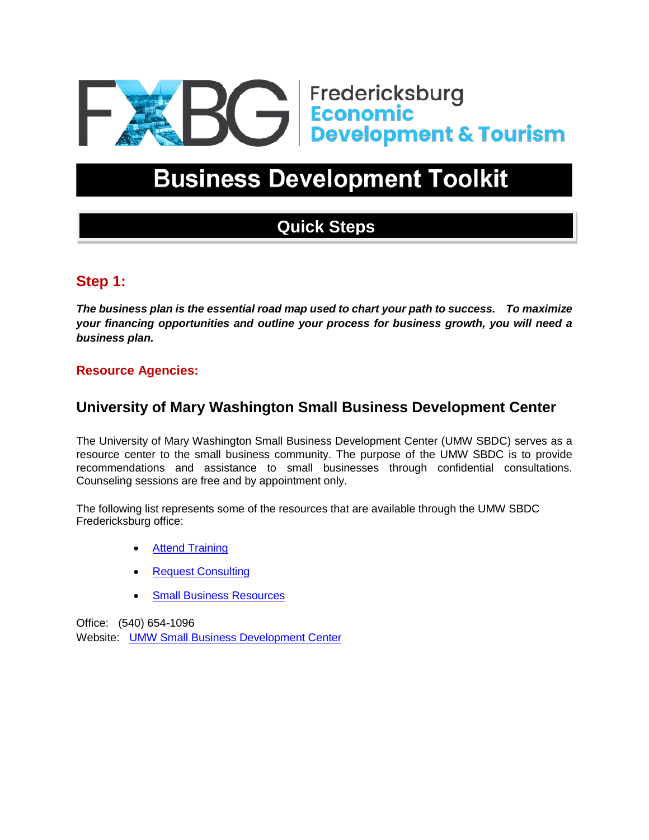

# **Business Development Toolkit**

## **Quick Steps**

## **Step 1:**

*The business plan is the essential road map used to chart your path to success. To maximize your financing opportunities and outline your process for business growth, you will need a business plan.* 

#### **Resource Agencies:**

## **University of Mary Washington Small Business Development Center**

The University of Mary Washington Small Business Development Center (UMW SBDC) serves as a resource center to the small business community. The purpose of the UMW SBDC is to provide recommendations and assistance to small businesses through confidential consultations. Counseling sessions are free and by appointment only.

The following list represents some of the resources that are available through the UMW SBDC Fredericksburg office:

- **[Attend Training](https://economicdevelopment.umw.edu/home/programs/events-at-the-fredericksburg-office/)**
- **[Request Consulting](https://economicdevelopment.umw.edu/home/programs/rfc-fredericksburg/)**
- **[Small Business Resources](https://economicdevelopment.umw.edu/home/about/resources/)**

Office: (540) 654-1096

Website: [UMW Small Business Development Center](http://economicdevelopment.umw.edu/sbdc/)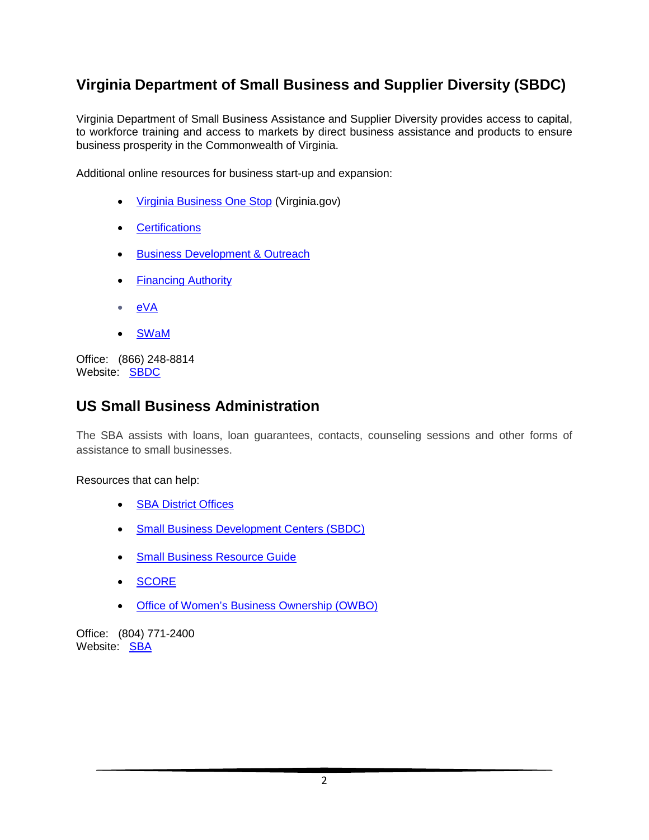## **Virginia Department of Small Business and Supplier Diversity (SBDC)**

Virginia Department of Small Business Assistance and Supplier Diversity provides access to capital, to workforce training and access to markets by direct business assistance and products to ensure business prosperity in the Commonwealth of Virginia.

Additional online resources for business start-up and expansion:

- [Virginia Business One Stop](http://bos.virginia.gov/) (Virginia.gov)
- [Certifications](https://www.sbsd.virginia.gov/certification-division/)
- [Business Development](https://www.sbsd.virginia.gov/business-development-and-outreach/) & Outreach
- [Financing Authority](https://www.sbsd.virginia.gov/virginia-small-business-financing-authority/)
- [eVA](http://www.eva.virginia.gov/)
- [SWaM](https://www.sbsd.virginia.gov/certification-division/swam/)

Office: (866) 248-8814 Website: [SBDC](https://www.sbsd.virginia.gov/)

## **US Small Business Administration**

The SBA assists with loans, loan guarantees, contacts, counseling sessions and other forms of assistance to small businesses.

#### Resources that can help:

- **[SBA District Offices](http://www.sba.gov/about-offices-content/2/3155)**
- [Small Business Development Centers \(SBDC\)](https://www.virginiasbdc.org/)
- [Small Business Resource Guide](https://www.sba.gov/sites/default/files/2020-09/ResourceGuideSummerNational2020.pdf)
- [SCORE](http://www.score.org/)
- [Office of Women's Business Ownership](https://www.sba.gov/business-guide/grow-your-business/women-owned-businesses#section-header-0) (OWBO)

Office: (804) 771-2400 Website: [SBA](http://www.sba.gov/)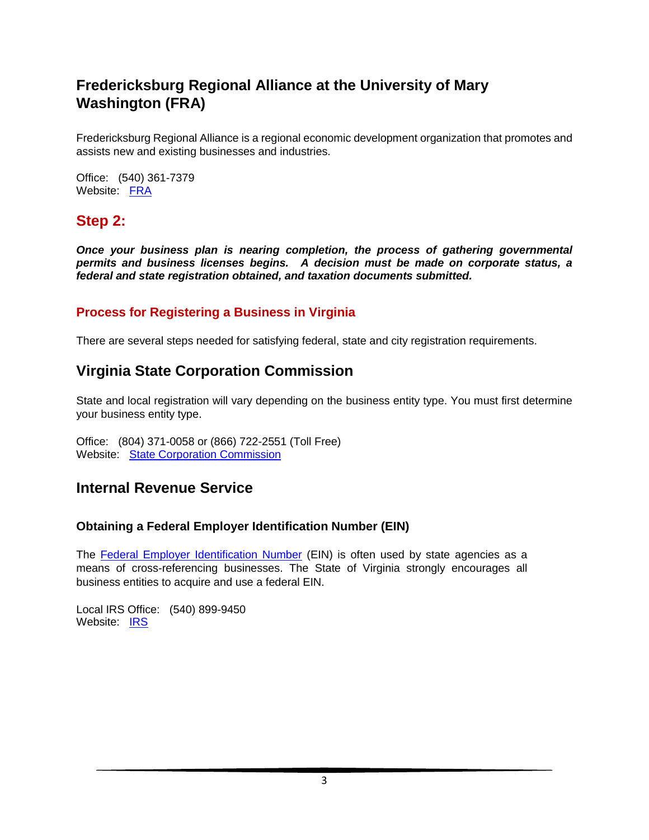## **Fredericksburg Regional Alliance at the University of Mary Washington (FRA)**

Fredericksburg Regional Alliance is a regional economic development organization that promotes and assists new and existing businesses and industries.

Office: (540) 361-7379 Website: [FRA](https://fredregion.com/)

## **Step 2:**

*Once your business plan is nearing completion, the process of gathering governmental permits and business licenses begins. A decision must be made on corporate status, a federal and state registration obtained, and taxation documents submitted.* 

#### **Process for Registering a Business in Virginia**

There are several steps needed for satisfying federal, state and city registration requirements.

### **Virginia State Corporation Commission**

State and local registration will vary depending on the business entity type. You must first determine your business entity type.

Office: (804) 371-0058 or (866) 722-2551 (Toll Free) Website: [State Corporation Commission](http://www.scc.virginia.gov/)

### **Internal Revenue Service**

#### **Obtaining a Federal Employer Identification Number (EIN)**

The [Federal Employer Identification Number](http://www.irs.gov/Businesses/Small-Businesses-&-Self-Employed/Apply-for-an-Employer-Identification-Number-(EIN)-Online) (EIN) is often used by state agencies as a means of cross-referencing businesses. The State of Virginia strongly encourages all business entities to acquire and use a federal EIN.

Local IRS Office: (540) 899-9450 Website: [IRS](http://www.irs.gov/)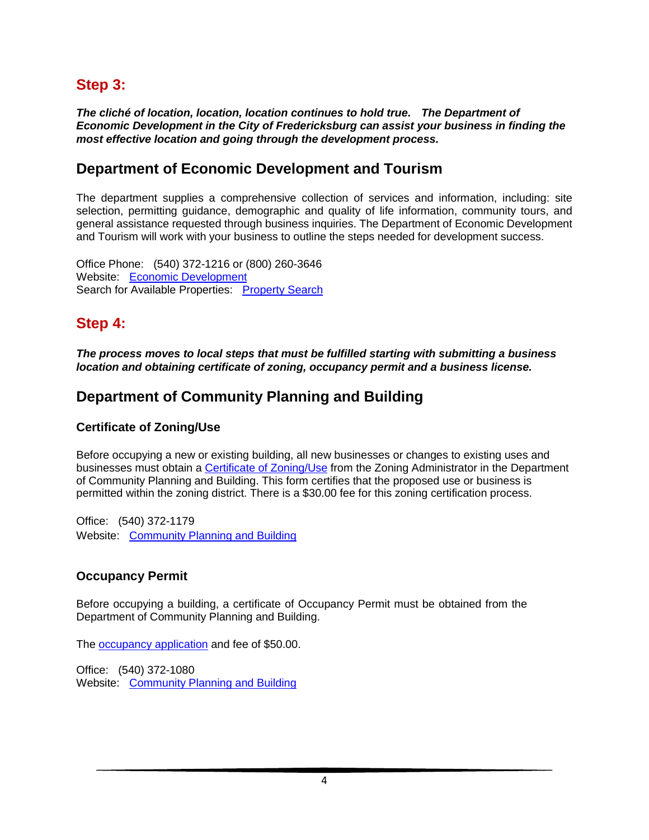## **Step 3:**

*The cliché of location, location, location continues to hold true. The Department of Economic Development in the City of Fredericksburg can assist your business in finding the most effective location and going through the development process.* 

## **Department of Economic Development and Tourism**

The department supplies a comprehensive collection of services and information, including: site selection, permitting guidance, demographic and quality of life information, community tours, and general assistance requested through business inquiries. The Department of Economic Development and Tourism will work with your business to outline the steps needed for development success.

Office Phone: (540) 372-1216 or (800) 260-3646 Website: [Economic Development](http://www.fredericksburgva.com/) Search for Available Properties: [Property Search](https://econdev-fredericksburg.hub.arcgis.com/)

## **Step 4:**

*The process moves to local steps that must be fulfilled starting with submitting a business location and obtaining certificate of zoning, occupancy permit and a business license.* 

## **Department of Community Planning and Building**

#### **Certificate of Zoning/Use**

Before occupying a new or existing building, all new businesses or changes to existing uses and businesses must obtain a [Certificate of Zoning/Use](https://www.fredericksburgva.gov/947/Zoning) from the Zoning Administrator in the Department of Community Planning and Building. This form certifies that the proposed use or business is permitted within the zoning district. There is a \$30.00 fee for this zoning certification process.

Office: (540) 372-1179 Website: Community [Planning and Building](http://www.fredericksburgva.gov/index.aspx?nid=813)

#### **Occupancy Permit**

Before occupying a building, a certificate of Occupancy Permit must be obtained from the Department of Community Planning and Building.

The [occupancy application](http://www.fredericksburgva.gov/documentcenter/view/757) and fee of \$50.00.

Office: (540) 372-1080 Website: [Community Planning](http://www.fredericksburgva.gov/index.aspx?nid=813) and Building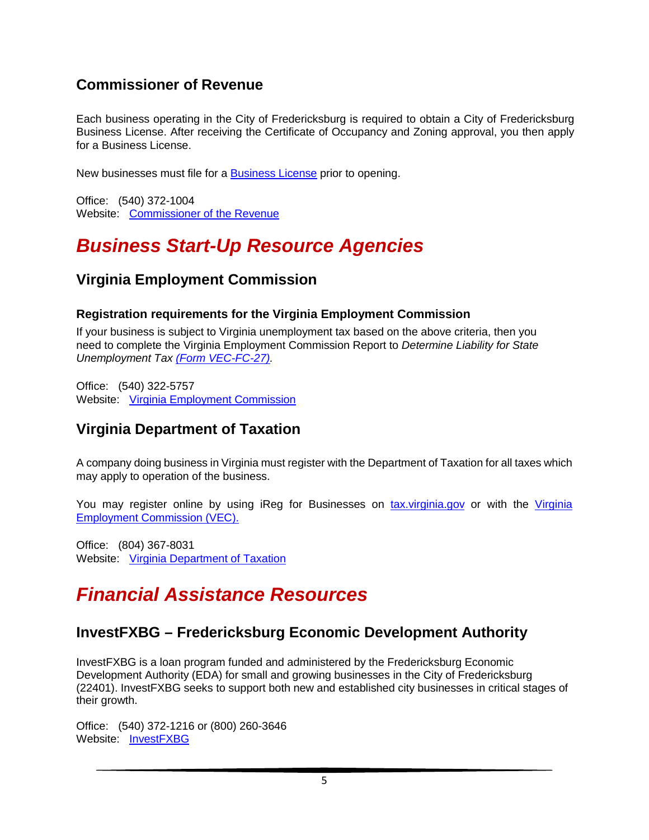## **Commissioner of Revenue**

Each business operating in the City of Fredericksburg is required to obtain a City of Fredericksburg Business License. After receiving the Certificate of Occupancy and Zoning approval, you then apply for a Business License.

New businesses must file for a [Business License](http://www.fredericksburgva.gov/index.aspx?nid=302) prior to opening.

Office: (540) 372-1004 Website: [Commissioner of the Revenue](http://www.fredericksburgva.gov/index.aspx?nid=301)

## *Business Start-Up Resource Agencies*

## **Virginia Employment Commission**

#### **Registration requirements for the Virginia Employment Commission**

If your business is subject to Virginia unemployment tax based on the above criteria, then you need to complete the Virginia Employment Commission Report to *Determine Liability for State Unemployment Tax [\(Form VEC-FC-27\).](http://www.vec.virginia.gov/vecportal/employer/pdf/fc_27new.pdf)* 

Office: (540) 322-5757 Website: [Virginia Employment Commission](http://www.vec.virginia.gov/)

## **Virginia Department of Taxation**

A company doing business in Virginia must register with the Department of Taxation for all taxes which may apply to operation of the business.

You may register online by using iReg for Businesses on [tax.virginia.gov](http://www.tax.virginia.gov/) or with the [Virginia](http://www.vec.virginia.gov/)  [Employment Commission \(VEC\).](http://www.vec.virginia.gov/)

Office: (804) 367-8031 Website: Virginia [Department of Taxation](http://www.tax.virginia.gov/)

## *Financial Assistance Resources*

### **InvestFXBG – Fredericksburg Economic Development Authority**

InvestFXBG is a loan program funded and administered by the Fredericksburg Economic Development Authority (EDA) for small and growing businesses in the City of Fredericksburg (22401). InvestFXBG seeks to support both new and established city businesses in critical stages of their growth.

Office: (540) 372-1216 or (800) 260-3646 Website: [InvestFXBG](https://www.fredericksburgva.com/301/InvestFXBG)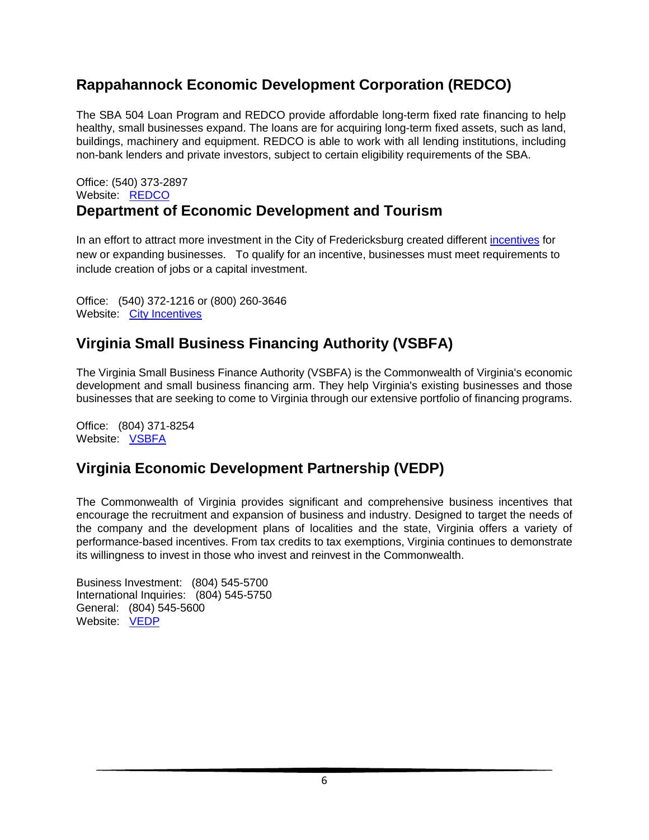## **Rappahannock Economic Development Corporation (REDCO)**

The SBA 504 Loan Program and REDCO provide affordable long-term fixed rate financing to help healthy, small businesses expand. The loans are for acquiring long-term fixed assets, such as land, buildings, machinery and equipment. REDCO is able to work with all lending institutions, including non-bank lenders and private investors, subject to certain eligibility requirements of the SBA.

#### Office: (540) 373-2897 Website: [REDCO](http://www.redco504.org/) **Department of Economic Development and Tourism**

In an effort to attract more investment in the City of Fredericksburg created different [incentives](https://www.fredericksburgva.com/152/City-Incentives) for new or expanding businesses. To qualify for an incentive, businesses must meet requirements to include creation of jobs or a capital investment.

Office: (540) 372-1216 or (800) 260-3646 Website: [City Incentives](https://www.fredericksburgva.com/152/City-Incentives)

## **Virginia Small Business Financing Authority (VSBFA)**

The Virginia Small Business Finance Authority (VSBFA) is the Commonwealth of Virginia's economic development and small business financing arm. They help Virginia's existing businesses and those businesses that are seeking to come to Virginia through our extensive portfolio of financing programs.

Office: (804) 371-8254 Website: [VSBFA](https://www.sbsd.virginia.gov/virginia-small-business-financing-authority/)

## **Virginia Economic Development Partnership (VEDP)**

The Commonwealth of Virginia provides significant and comprehensive business incentives that encourage the recruitment and expansion of business and industry. Designed to target the needs of the company and the development plans of localities and the state, Virginia offers a variety of performance-based incentives. From tax credits to tax exemptions, Virginia continues to demonstrate its willingness to invest in those who invest and reinvest in the Commonwealth.

Business Investment: (804) 545-5700 International Inquiries: (804) 545-5750 General: (804) 545-5600 Website: **[VEDP](https://www.vedp.org/)**